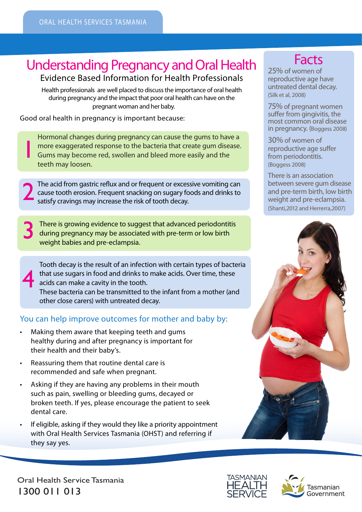# **Understanding Pregnancy and Oral Health Facts**

Evidence Based Information for Health Professionals

Health professionals are well placed to discuss the importance of oral health during pregnancy and the impact that poor oral health can have on the pregnant woman and her baby.

Good oral health in pregnancy is important because:

1

4

Hormonal changes during pregnancy can cause the gums to have a more exaggerated response to the bacteria that create gum disease. Gums may become red, swollen and bleed more easily and the teeth may loosen.

The acid from gastric reflux and or frequent or excessive vomiting can cause tooth erosion. Frequent snacking on sugary foods and drinks to satisfy cravings may increase the risk of tooth decay.

There is growing evidence to suggest that advanced periodontitis during pregnancy may be associated with pre-term or low birth weight babies and pre-eclampsia.

Tooth decay is the result of an infection with certain types of bacteria that use sugars in food and drinks to make acids. Over time, these acids can make a cavity in the tooth. These bacteria can be transmitted to the infant from a mother (and other close carers) with untreated decay.

# You can help improve outcomes for mother and baby by:

- Making them aware that keeping teeth and gums healthy during and after pregnancy is important for their health and their baby's.
- Reassuring them that routine dental care is recommended and safe when pregnant.
- Asking if they are having any problems in their mouth such as pain, swelling or bleeding gums, decayed or broken teeth. If yes, please encourage the patient to seek dental care.
- If eligible, asking if they would they like a priority appointment with Oral Health Services Tasmania (OHST) and referring if they say yes.

25% of women of reproductive age have untreated dental decay. (Silk et al, 2008)

75% of pregnant women suffer from gingivitis, the most common oral disease in pregnancy. (Boggess 2008)

30% of women of reproductive age suffer from periodontitis. (Boggess 2008)

There is an association between severe gum disease and pre-term birth, low birth weight and pre-eclampsia. (Shanti,2012 and Herrerra,2007)







Oral Health Service Tasmania 1300 011 013